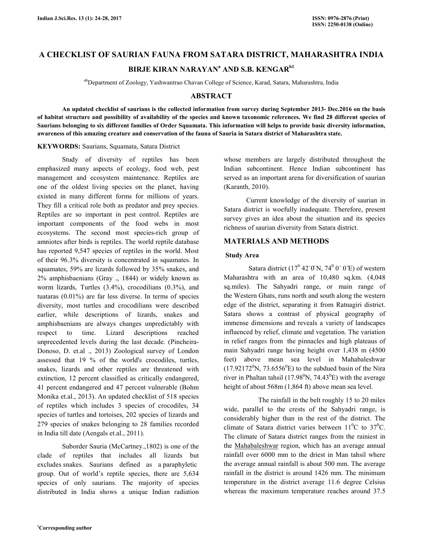# **A CHECKLIST OF SAURIAN FAUNA FROM SATARA DISTRICT, MAHARASHTRA INDIA**

# **BIRJE KIRAN NARAYAN<sup>a</sup> AND S.B. KENGARb1**

<sup>ab</sup>Department of Zoology, Yashwantrao Chavan College of Science, Karad, Satara, Maharashtra, India

## **ABSTRACT**

 **An updated checklist of saurians is the collected information from survey during September 2013- Dec.2016 on the basis of habitat structure and possibility of availability of the species and known taxonomic references. We find 28 different species of Saurians belonging to six different families of Order Squamata. This information will helps to provide basic diversity information, awareness of this amazing creature and conservation of the fauna of Sauria in Satara district of Maharashtra state.** 

#### **KEYWORDS:** Saurians, Squamata, Satara District

 Study of diversity of reptiles has been emphasized many aspects of ecology, food web, pest management and ecosystem maintenance. Reptiles are one of the oldest living species on the planet, having existed in many different forms for millions of years. They fill a critical role both as predator and prey species. Reptiles are so important in pest control. Reptiles are important components of the food webs in most ecosystems. The second most species-rich group of amniotes after birds is reptiles. The world reptile database has reported 9,547 species of reptiles in the world. Most of their 96.3% diversity is concentrated in squamates. In squamates, 59% are lizards followed by 35% snakes, and 2% amphisbaenians (Gray ., 1844) or widely known as worm lizards, Turtles (3.4%), crocodilians (0.3%), and tuataras (0.01%) are far less diverse. In terms of species diversity, most turtles and crocodilians were described earlier, while descriptions of lizards, snakes and amphisbaenians are always changes unpredictably with respect to time. Lizard descriptions reached unprecedented levels during the last decade. (Pincheira-Donoso, D. et.al ., 2013) Zoological survey of London assessed that 19 % of the world's crocodiles, turtles, snakes, lizards and other reptiles are threatened with extinction, 12 percent classified as critically endangered, 41 percent endangered and 47 percent vulnerable (Bohm Monika et.al., 2013). An updated checklist of 518 species of reptiles which includes 3 species of crocodiles, 34 species of turtles and tortoises, 202 species of lizards and 279 species of snakes belonging to 28 families recorded in India till date (Aengals et.al., 2011).

 Suborder Sauria (McCartney.,1802) is one of the clade of reptiles that includes all lizards but excludes snakes. Saurians defined as a paraphyletic group. Out of world's reptile species, there are 5,634 species of only saurians. The majority of species distributed in India shows a unique Indian radiation whose members are largely distributed throughout the Indian subcontinent. Hence Indian subcontinent has served as an important arena for diversification of saurian (Karanth, 2010).

 Current knowledge of the diversity of saurian in Satara district is woefully inadequate. Therefore, present survey gives an idea about the situation and its species richness of saurian diversity from Satara district.

## **MATERIALS AND METHODS**

#### **Study Area**

Satara district  $(17<sup>0</sup> 42'0'N, 74<sup>0</sup> 0' 0'E)$  of western Maharashtra with an area of 10,480 sq.km. (4,048 sq.miles). The Sahyadri range, or main range of the Western Ghats, runs north and south along the western edge of the district, separating it from Ratnagiri district. Satara shows a contrast of physical geography of immense dimensions and reveals a variety of landscapes influenced by relief, climate and vegetation. The variation in relief ranges from the pinnacles and high plateaus of main Sahyadri range having height over 1,438 m (4500 feet) above mean sea level in Mahabaleshwar  $(17.92172^0)$ N,  $73.6556^0$ E) to the subdued basin of the Nira river in Phaltan tahsil (17.98 $\rm{^0N}$ , 74.43 $\rm{^0E}$ ) with the average height of about 568m (1,864 ft) above mean sea level.

 The rainfall in the belt roughly 15 to 20 miles wide, parallel to the crests of the Sahyadri range, is considerably higher than in the rest of the district. The climate of Satara district varies between  $11^{\circ}$ C to  $37^{\circ}$ C. The climate of Satara district ranges from the rainiest in the Mahabaleshwar region, which has an average annual rainfall over 6000 mm to the driest in Man tahsil where the average annual rainfall is about 500 mm. The average rainfall in the district is around 1426 mm. The minimum temperature in the district average 11.6 degree Celsius whereas the maximum temperature reaches around 37.5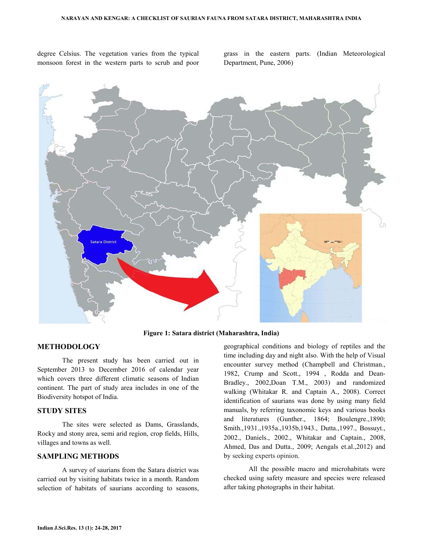degree Celsius. The vegetation varies from the typical monsoon forest in the western parts to scrub and poor grass in the eastern parts. (Indian Meteorological Department, Pune, 2006)



**Figure 1: Satara district (Maharashtra, India)** 

## **METHODOLOGY**

 The present study has been carried out in September 2013 to December 2016 of calendar year which covers three different climatic seasons of Indian continent. The part of study area includes in one of the Biodiversity hotspot of India.

## **STUDY SITES**

 The sites were selected as Dams, Grasslands, Rocky and stony area, semi arid region, crop fields, Hills, villages and towns as well.

## **SAMPLING METHODS**

 A survey of saurians from the Satara district was carried out by visiting habitats twice in a month. Random selection of habitats of saurians according to seasons,

geographical conditions and biology of reptiles and the time including day and night also. With the help of Visual encounter survey method (Champbell and Christman., 1982, Crump and Scott., 1994 , Rodda and Dean-Bradley., 2002,Doan T.M., 2003) and randomized walking (Whitakar R. and Captain A., 2008). Correct identification of saurians was done by using many field manuals, by referring taxonomic keys and various books and literatures (Gunther., 1864; Boulengre.,1890; Smith.,1931.,1935a.,1935b,1943., Dutta.,1997., Bossuyt., 2002., Daniels., 2002., Whitakar and Captain., 2008, Ahmed, Das and Dutta., 2009; Aengals et.al.,2012) and by seeking experts opinion.

 All the possible macro and microhabitats were checked using safety measure and species were released after taking photographs in their habitat.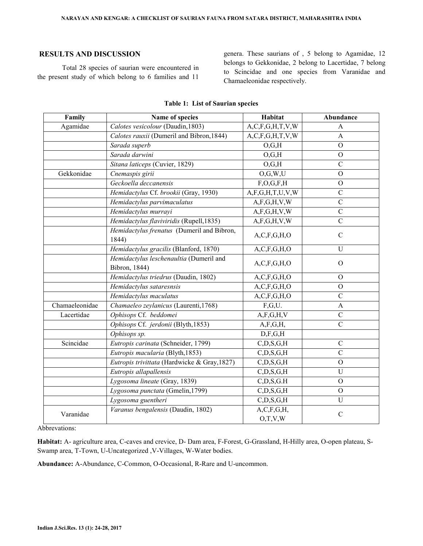## **RESULTS AND DISCUSSION**

 Total 28 species of saurian were encountered in the present study of which belong to 6 families and 11

genera. These saurians of , 5 belong to Agamidae, 12 belongs to Gekkonidae, 2 belong to Lacertidae, 7 belong to Scincidae and one species from Varanidae and Chamaeleonidae respectively.

| Family         | Name of species                                          | Habitat                     | Abundance      |
|----------------|----------------------------------------------------------|-----------------------------|----------------|
| Agamidae       | Calotes vesicolour (Daudin, 1803)                        | A, C, F, G, H, T, V, W      | A              |
|                | Calotes rauxii (Dumeril and Bibron, 1844)                | A, C, F, G, H, T, V, W      | A              |
|                | Sarada superb                                            | O,G,H                       | $\mathbf{O}$   |
|                | Sarada darwini                                           | O,G,H                       | $\mathbf{O}$   |
|                | Sitana laticeps (Cuvier, 1829)                           | O,G,H                       | $\mathcal{C}$  |
| Gekkonidae     | Cnemaspis girii                                          | O, G, W, U                  | $\overline{O}$ |
|                | Geckoella deccanensis                                    | F, O, G, F, H               | $\overline{O}$ |
|                | Hemidactylus Cf. brookii (Gray, 1930)                    | A, F, G, H, T, U, V, W      | $\mathcal{C}$  |
|                | Hemidactylus parvimaculatus                              | A, F, G, H, V, W            | $\mathcal{C}$  |
|                | Hemidactylus murrayi                                     | A, F, G, H, V, W            | $\overline{C}$ |
|                | Hemidactylus flaviviridis (Rupell, 1835)                 | A, F, G, H, V, W            | $\mathcal{C}$  |
|                | Hemidactylus frenatus (Dumeril and Bibron,<br>1844)      | A, C, F, G, H, O            | $\mathcal{C}$  |
|                | Hemidactylus gracilis (Blanford, 1870)                   | $A, C, F, \overline{G,H,O}$ | $\overline{U}$ |
|                | Hemidactylus leschenaultia (Dumeril and<br>Bibron, 1844) | A, C, F, G, H, O            | $\Omega$       |
|                | Hemidactylus triedrus (Daudin, 1802)                     | A, C, F, G, H, O            | $\Omega$       |
|                | Hemidactylus sataresnsis                                 | A, C, F, G, H, O            | $\Omega$       |
|                | Hemidactylus maculatus                                   | A, C, F, G, H, O            | $\mathcal{C}$  |
| Chamaeleonidae | Chamaeleo zeylanicus (Laurenti, 1768)                    | F,G,U.                      | A              |
| Lacertidae     | Ophisops Cf. beddomei                                    | A, F, G, H, V               | $\mathcal{C}$  |
|                | Ophisops Cf. jerdonii (Blyth, 1853)                      | A, F, G, H,                 | $\overline{C}$ |
|                | Ophisops sp.                                             | D, F, G, H                  |                |
| Scincidae      | Eutropis carinata (Schneider, 1799)                      | $C$ , $D$ , $S$ , $G$ , $H$ | $\mathcal{C}$  |
|                | Eutropis macularia (Blyth, 1853)                         | $C$ , $D$ , $S$ , $G$ , $H$ | $\mathcal{C}$  |
|                | Eutropis trivittata (Hardwicke & Gray, 1827)             | $C$ , $D$ , $S$ , $G$ , $H$ | $\mathbf{O}$   |
|                | Eutropis allapallensis                                   | $C$ , $D$ , $S$ , $G$ , $H$ | $\mathbf U$    |
|                | Lygosoma lineate (Gray, 1839)                            | $C$ , $D$ , $S$ , $G$ . $H$ | $\overline{O}$ |
|                | Lygosoma punctata (Gmelin, 1799)                         | $C$ , $D$ , $S$ , $G$ , $H$ | $\overline{O}$ |
|                | Lygosoma guentheri                                       | $C$ , $D$ , $S$ , $G$ , $H$ | $\overline{U}$ |
| Varanidae      | Varanus bengalensis (Daudin, 1802)                       | A, C, F, G, H,              | $\mathcal{C}$  |
|                |                                                          | O,T,V,W                     |                |

#### **Table 1: List of Saurian species**

Abbrevations:

**Habitat:** A- agriculture area, C-caves and crevice, D- Dam area, F-Forest, G-Grassland, H-Hilly area, O-open plateau, S-Swamp area, T-Town, U-Uncategorized ,V-Villages, W-Water bodies.

**Abundance:** A-Abundance, C-Common, O-Occasional, R-Rare and U-uncommon.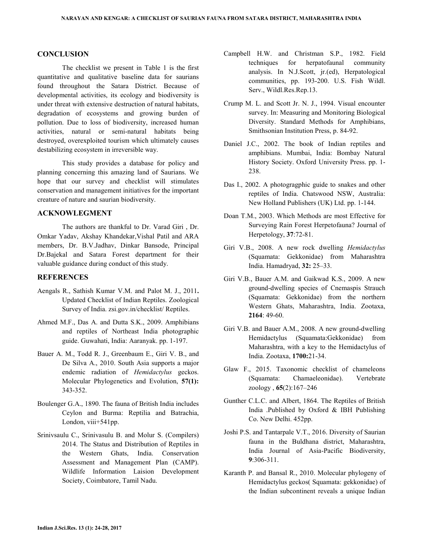## **CONCLUSION**

 The checklist we present in Table 1 is the first quantitative and qualitative baseline data for saurians found throughout the Satara District. Because of developmental activities, its ecology and biodiversity is under threat with extensive destruction of natural habitats, degradation of ecosystems and growing burden of pollution. Due to loss of biodiversity, increased human activities, natural or semi-natural habitats being destroyed, overexploited tourism which ultimately causes destabilizing ecosystem in irreversible way.

 This study provides a database for policy and planning concerning this amazing land of Saurians. We hope that our survey and checklist will stimulates conservation and management initiatives for the important creature of nature and saurian biodiversity.

## **ACKNOWLEGMENT**

 The authors are thankful to Dr. Varad Giri , Dr. Omkar Yadav, Akshay Khandekar,Vishal Patil and ARA members, Dr. B.V.Jadhav, Dinkar Bansode, Principal Dr.Bajekal and Satara Forest department for their valuable guidance during conduct of this study.

## **REFERENCES**

- Aengals R., Sathish Kumar V.M. and Palot M. J., 2011**.**  Updated Checklist of Indian Reptiles. Zoological Survey of India. zsi.gov.in/checklist/ Reptiles.
- Ahmed M.F., Das A. and Dutta S.K., 2009. Amphibians and reptiles of Northeast India photographic guide. Guwahati, India: Aaranyak. pp. 1-197.
- Bauer A. M., Todd R. J., Greenbaum E., Giri V. B., and De Silva A., 2010. South Asia supports a major endemic radiation of *Hemidactylus* geckos. Molecular Phylogenetics and Evolution, **57(1):** 343-352.
- Boulenger G.A., 1890. The fauna of British India includes Ceylon and Burma: Reptilia and Batrachia, London, viii+541pp.
- Srinivsaulu C., Srinivasulu B. and Molur S. (Compilers) 2014. The Status and Distribution of Reptiles in the Western Ghats, India. Conservation Assessment and Management Plan (CAMP). Wildlife Information Laision Development Society, Coimbatore, Tamil Nadu.
- Campbell H.W. and Christman S.P., 1982. Field techniques for herpatofaunal community analysis. In N.J.Scott, jr.(ed), Herpatological communities, pp. 193-200. U.S. Fish Wildl. Serv., Wildl.Res.Rep.13.
- Crump M. L. and Scott Jr. N. J., 1994. Visual encounter survey. In: Measuring and Monitoring Biological Diversity. Standard Methods for Amphibians, Smithsonian Institution Press, p. 84-92.
- Daniel J.C., 2002. The book of Indian reptiles and amphibians. Mumbai, India: Bombay Natural History Society. Oxford University Press. pp. 1- 238.
- Das I., 2002. A photogragphic guide to snakes and other reptiles of India. Chatswood NSW, Australia: New Holland Publishers (UK) Ltd. pp. 1-144.
- Doan T.M., 2003. Which Methods are most Effective for Surveying Rain Forest Herpetofauna? Journal of Herpetology, **37**:72-81.
- Giri V.B., 2008. A new rock dwelling *Hemidactylus*  (Squamata: Gekkonidae) from Maharashtra India. Hamadryad, **32:** 25–33.
- Giri V.B., Bauer A.M. and Gaikwad K.S., 2009. A new ground-dwelling species of Cnemaspis Strauch (Squamata: Gekkonidae) from the northern Western Ghats, Maharashtra, India. Zootaxa, **2164**: 49-60.
- Giri V.B. and Bauer A.M., 2008. A new ground-dwelling Hemidactylus (Squamata:Gekkonidae) from Maharashtra, with a key to the Hemidactylus of India. Zootaxa, **1700:**21-34.
- Glaw F., 2015. Taxonomic checklist of chameleons (Squamata: Chamaeleonidae). Vertebrate zoology , **65**(2):167–246
- Gunther C.L.C. and Albert, 1864. The Reptiles of British India .Published by Oxford & IBH Publishing Co. New Delhi. 452pp.
- Joshi P.S. and Tantarpale V.T., 2016. Diversity of Saurian fauna in the Buldhana district, Maharashtra, India Journal of Asia-Pacific Biodiversity, **9**:306-311.
- Karanth P. and Bansal R., 2010. Molecular phylogeny of Hemidactylus geckos( Squamata: gekkonidae) of the Indian subcontinent reveals a unique Indian